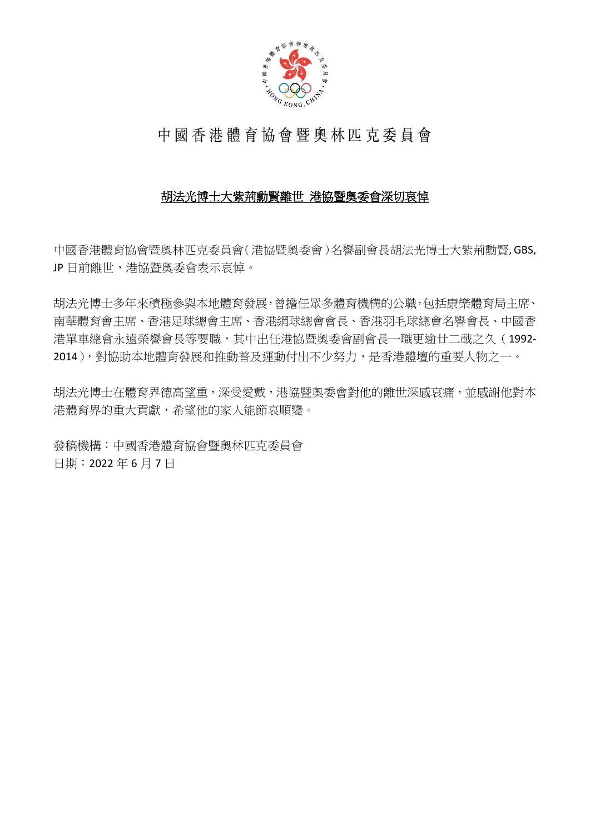

## 中國香港體育協會暨奧林匹克委員會

## 胡法光博士大紫荊勳賢離世 港協暨奧委會深切哀悼

中國香港體育協會暨奧林匹克委員會(港協暨奧委會)名譽副會長胡法光博士大紫荊勳賢, GBS, JP 日前離世,港協暨奧委會表示哀悼。

胡法光博士多年來積極參與本地體育發展,曾擔任眾多體育機構的公職,包括康樂體育局主席、 南華體育會主席、香港足球總會主席、香港網球總會會長、香港羽毛球總會名譽會長、中國香 港單車總會永遠榮譽會長等要職,其中出任港協暨奧委會副會長一職更逾廿二載之久(1992- 2014),對協助本地體育發展和推動普及運動付出不少努力,是香港體壇的重要人物之一。

胡法光博士在體育界德高望重,深受愛戴,港協暨奧委會對他的離世深感哀痛,並感謝他對本 港體育界的重大貢獻,希望他的家人能節哀順變。

發稿機構:中國香港體育協會暨奧林匹克委員會 日期:2022 年 6 月 7 日